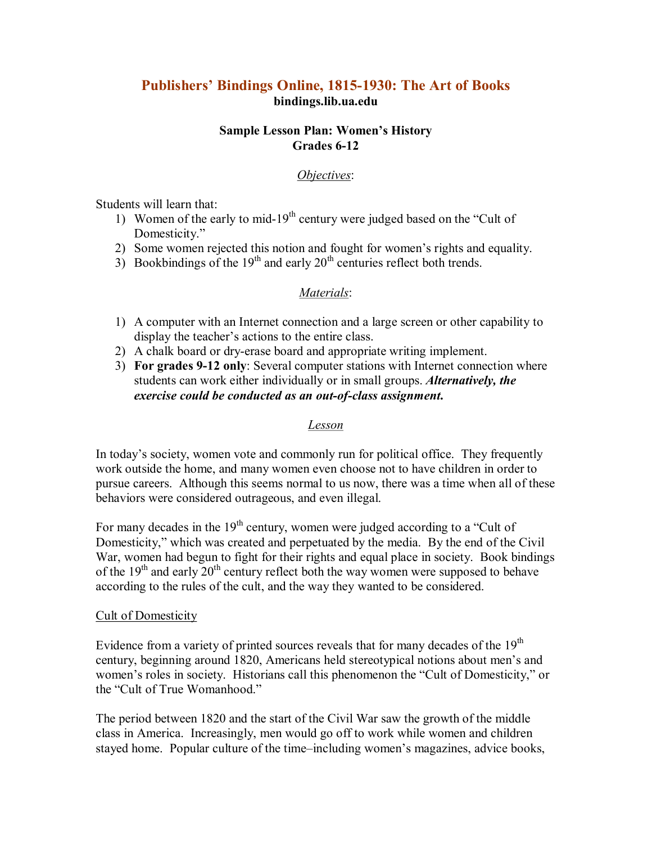# **Publishers' Bindings Online, 18151930: The Art of Books bindings.lib.ua.edu**

### **Sample Lesson Plan: Women's History Grades 612**

### *Objectives*:

Students will learn that:

- 1) Women of the early to mid-19<sup>th</sup> century were judged based on the "Cult of Domesticity."
- 2) Some women rejected this notion and fought for women's rights and equality.
- 3) Bookbindings of the  $19<sup>th</sup>$  and early  $20<sup>th</sup>$  centuries reflect both trends.

## *Materials*:

- 1) A computer with an Internet connection and a large screen or other capability to display the teacher's actions to the entire class.
- 2) A chalk board or dry-erase board and appropriate writing implement.
- 3) **For grades 912 only**: Several computer stations with Internet connection where students can work either individually or in small groups. *Alternatively, the exercise could be conducted as an out-of-class assignment.*

#### *Lesson*

In today's society, women vote and commonly run for political office. They frequently work outside the home, and many women even choose not to have children in order to pursue careers. Although this seems normal to us now, there was a time when all of these behaviors were considered outrageous, and even illegal.

For many decades in the  $19<sup>th</sup>$  century, women were judged according to a "Cult of Domesticity," which was created and perpetuated by the media. By the end of the Civil War, women had begun to fight for their rights and equal place in society. Book bindings of the  $19<sup>th</sup>$  and early  $20<sup>th</sup>$  century reflect both the way women were supposed to behave according to the rules of the cult, and the way they wanted to be considered.

#### Cult of Domesticity

Evidence from a variety of printed sources reveals that for many decades of the  $19<sup>th</sup>$ century, beginning around 1820, Americans held stereotypical notions about men's and women's roles in society. Historians call this phenomenon the "Cult of Domesticity," or the "Cult of True Womanhood"

The period between 1820 and the start of the Civil War saw the growth of the middle class in America. Increasingly, men would go off to work while women and children stayed home. Popular culture of the time–including women's magazines, advice books,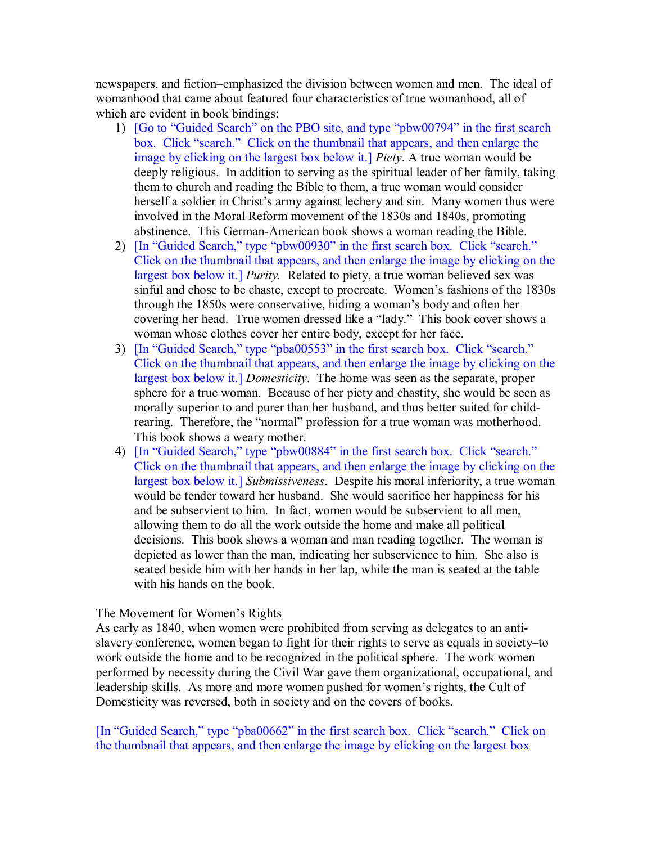newspapers, and fiction–emphasized the division between women and men. The ideal of womanhood that came about featured four characteristics of true womanhood, all of which are evident in book bindings:

- 1) [Go to "Guided Search" on the PBO site, and type "pbw00794" in the first search box. Click "search." Click on the thumbnail that appears, and then enlarge the image by clicking on the largest box below it.] *Piety*. A true woman would be deeply religious. In addition to serving as the spiritual leader of her family, taking them to church and reading the Bible to them, a true woman would consider herself a soldier in Christ's army against lechery and sin. Many women thus were involved in the Moral Reform movement of the 1830s and 1840s, promoting abstinence. This German-American book shows a woman reading the Bible.
- 2) [In "Guided Search," type "pbw00930" in the first search box. Click "search." Click on the thumbnail that appears, and then enlarge the image by clicking on the largest box below it.] *Purity.* Related to piety, a true woman believed sex was sinful and chose to be chaste, except to procreate. Women's fashions of the 1830s through the 1850s were conservative, hiding a woman's body and often her covering her head. True women dressed like a "lady." This book cover shows a woman whose clothes cover her entire body, except for her face.
- 3) [In "Guided Search," type "pba00553" in the first search box. Click "search." Click on the thumbnail that appears, and then enlarge the image by clicking on the largest box below it.] *Domesticity*. The home was seen as the separate, proper sphere for a true woman. Because of her piety and chastity, she would be seen as morally superior to and purer than her husband, and thus better suited for childrearing. Therefore, the "normal" profession for a true woman was motherhood. This book shows a weary mother.
- 4) [In "Guided Search," type "pbw00884" in the first search box. Click "search." Click on the thumbnail that appears, and then enlarge the image by clicking on the largest box below it.] *Submissiveness*. Despite his moral inferiority, a true woman would be tender toward her husband. She would sacrifice her happiness for his and be subservient to him. In fact, women would be subservient to all men, allowing them to do all the work outside the home and make all political decisions. This book shows a woman and man reading together. The woman is depicted as lower than the man, indicating her subservience to him. She also is seated beside him with her hands in her lap, while the man is seated at the table with his hands on the book.

#### The Movement for Women's Rights

As early as 1840, when women were prohibited from serving as delegates to an anti slavery conference, women began to fight for their rights to serve as equals in society–to work outside the home and to be recognized in the political sphere. The work women performed by necessity during the Civil War gave them organizational, occupational, and leadership skills. As more and more women pushed for women's rights, the Cult of Domesticity was reversed, both in society and on the covers of books.

[In "Guided Search," type "pba00662" in the first search box. Click "search." Click on the thumbnail that appears, and then enlarge the image by clicking on the largest box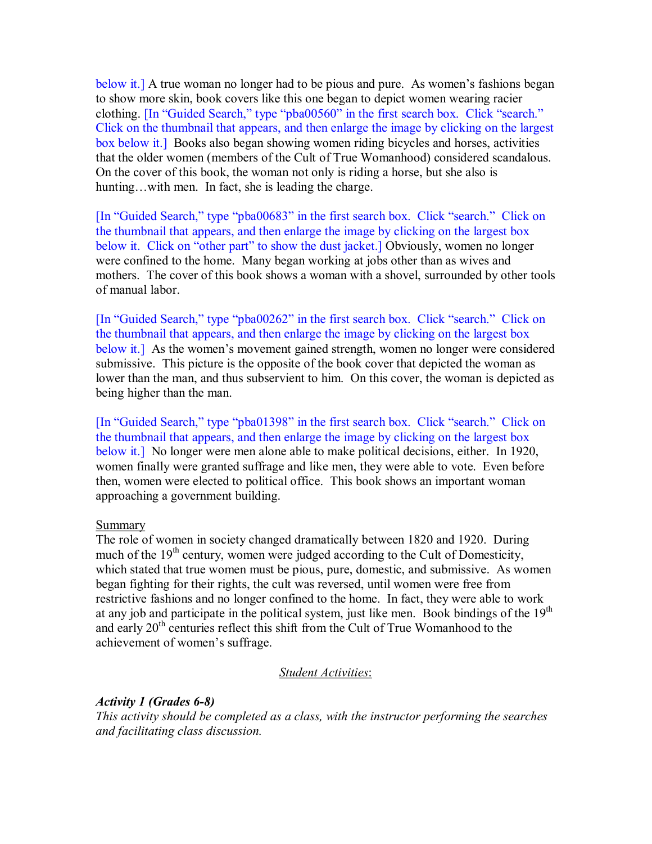below it.] A true woman no longer had to be pious and pure. As women's fashions began to show more skin, book covers like this one began to depict women wearing racier clothing. [In "Guided Search," type "pba00560" in the first search box. Click "search." Click on the thumbnail that appears, and then enlarge the image by clicking on the largest box below it.] Books also began showing women riding bicycles and horses, activities that the older women (members of the Cult of True Womanhood) considered scandalous. On the cover of this book, the woman not only is riding a horse, but she also is hunting...with men. In fact, she is leading the charge.

[In "Guided Search," type "pba00683" in the first search box. Click "search." Click on the thumbnail that appears, and then enlarge the image by clicking on the largest box below it. Click on "other part" to show the dust jacket.] Obviously, women no longer were confined to the home. Many began working at jobs other than as wives and mothers. The cover of this book shows a woman with a shovel, surrounded by other tools of manual labor.

[In "Guided Search," type "pba00262" in the first search box. Click "search." Click on the thumbnail that appears, and then enlarge the image by clicking on the largest box below it.] As the women's movement gained strength, women no longer were considered submissive. This picture is the opposite of the book cover that depicted the woman as lower than the man, and thus subservient to him. On this cover, the woman is depicted as being higher than the man.

[In "Guided Search," type "pba01398" in the first search box. Click "search." Click on the thumbnail that appears, and then enlarge the image by clicking on the largest box below it.] No longer were men alone able to make political decisions, either. In 1920, women finally were granted suffrage and like men, they were able to vote. Even before then, women were elected to political office. This book shows an important woman approaching a government building.

#### Summary

The role of women in society changed dramatically between 1820 and 1920. During much of the  $19<sup>th</sup>$  century, women were judged according to the Cult of Domesticity, which stated that true women must be pious, pure, domestic, and submissive. As women began fighting for their rights, the cult was reversed, until women were free from restrictive fashions and no longer confined to the home. In fact, they were able to work at any job and participate in the political system, just like men. Book bindings of the  $19<sup>th</sup>$ and early  $20<sup>th</sup>$  centuries reflect this shift from the Cult of True Womanhood to the achievement of women's suffrage.

#### *Student Activities*:

*Activity 1 (Grades 6-8) This activity should be completed as a class, with the instructor performing the searches and facilitating class discussion.*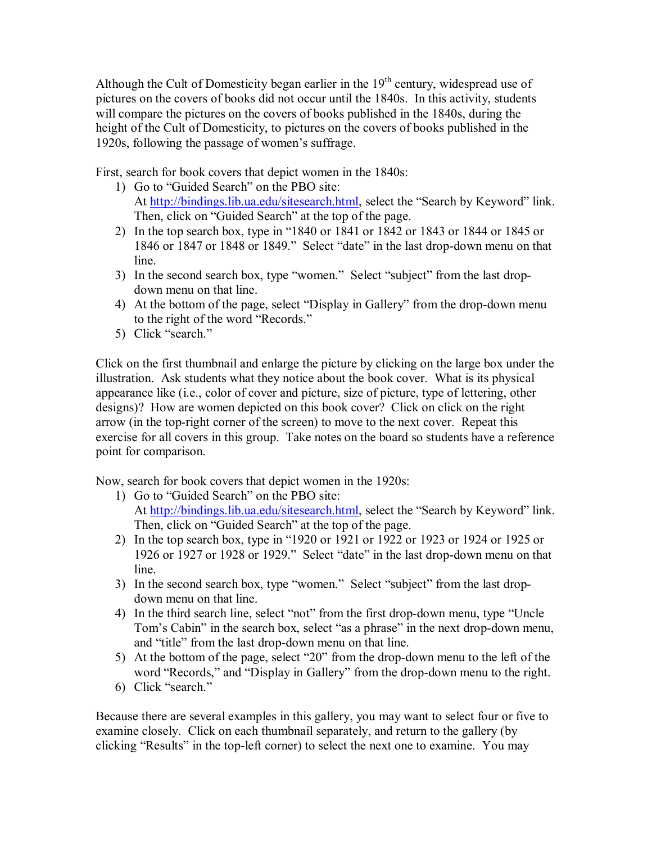Although the Cult of Domesticity began earlier in the  $19<sup>th</sup>$  century, widespread use of pictures on the covers of books did not occur until the 1840s. In this activity, students will compare the pictures on the covers of books published in the 1840s, during the height of the Cult of Domesticity, to pictures on the covers of books published in the 1920s, following the passage of women's suffrage.

First, search for book covers that depict women in the 1840s:

- 1) Go to "Guided Search" on the PBO site: At [http://bindings.lib.ua.edu/sitesearch.html,](http://bindings.lib.ua.edu/sitesearch.html) select the "Search by Keyword" link. Then, click on "Guided Search" at the top of the page.
- 2) In the top search box, type in "1840 or 1841 or 1842 or 1843 or 1844 or 1845 or 1846 or 1847 or 1848 or 1849." Select "date" in the last drop-down menu on that line.
- 3) In the second search box, type "women." Select "subject" from the last drop down menu on that line.
- 4) At the bottom of the page, select "Display in Gallery" from the drop-down menu to the right of the word "Records."
- 5) Click "search."

Click on the first thumbnail and enlarge the picture by clicking on the large box under the illustration. Ask students what they notice about the book cover. What is its physical appearance like (i.e., color of cover and picture, size of picture, type of lettering, other designs)? How are women depicted on this book cover? Click on click on the right arrow (in the top-right corner of the screen) to move to the next cover. Repeat this exercise for all covers in this group. Take notes on the board so students have a reference point for comparison.

Now, search for book covers that depict women in the 1920s:

- 1) Go to "Guided Search" on the PBO site: At [http://bindings.lib.ua.edu/sitesearch.html,](http://bindings.lib.ua.edu/sitesearch.html) select the "Search by Keyword" link. Then, click on "Guided Search" at the top of the page.
- 2) In the top search box, type in "1920 or 1921 or 1922 or 1923 or 1924 or 1925 or 1926 or 1927 or 1928 or 1929." Select "date" in the last drop-down menu on that line.
- 3) In the second search box, type "women." Select "subject" from the last drop down menu on that line.
- 4) In the third search line, select "not" from the first drop-down menu, type "Uncle" Tom's Cabin" in the search box, select "as a phrase" in the next drop-down menu, and "title" from the last drop-down menu on that line.
- 5) At the bottom of the page, select "20" from the drop-down menu to the left of the word "Records," and "Display in Gallery" from the drop-down menu to the right.
- 6) Click "search."

Because there are several examples in this gallery, you may want to select four or five to examine closely. Click on each thumbnail separately, and return to the gallery (by clicking "Results" in the top-left corner) to select the next one to examine. You may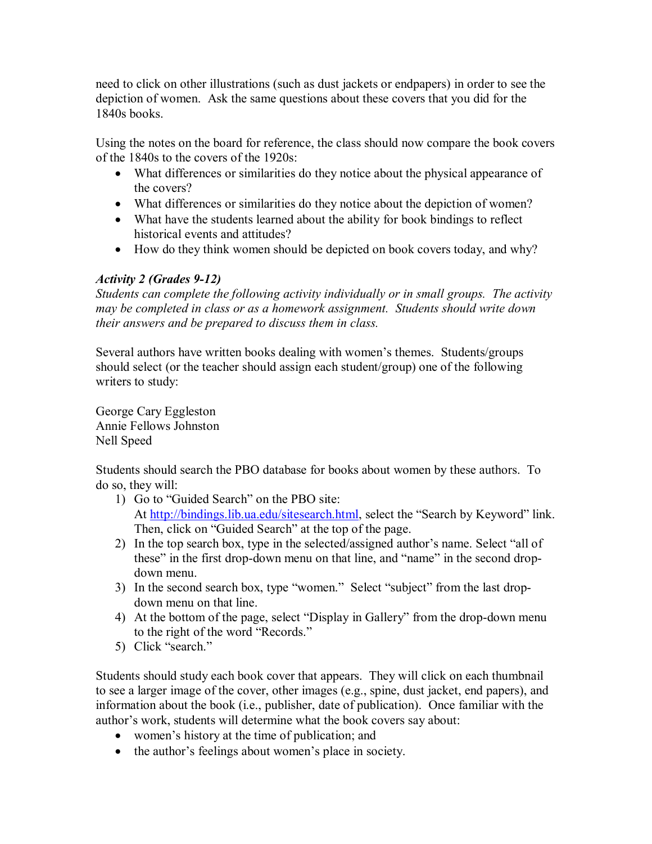need to click on other illustrations (such as dust jackets or endpapers) in order to see the depiction of women. Ask the same questions about these covers that you did for the 1840s books.

Using the notes on the board for reference, the class should now compare the book covers of the 1840s to the covers of the 1920s:

- · What differences or similarities do they notice about the physical appearance of the covers?
- · What differences or similarities do they notice about the depiction of women?
- · What have the students learned about the ability for book bindings to reflect historical events and attitudes?
- · How do they think women should be depicted on book covers today, and why?

# *Activity 2 (Grades 912)*

*Students can complete the following activity individually or in small groups. The activity may be completed in class or as a homework assignment. Students should write down their answers and be prepared to discuss them in class.*

Several authors have written books dealing with women's themes. Students/groups should select (or the teacher should assign each student/group) one of the following writers to study:

George Cary Eggleston Annie Fellows Johnston Nell Speed

Students should search the PBO database for books about women by these authors. To do so, they will:

- 1) Go to "Guided Search" on the PBO site: At [http://bindings.lib.ua.edu/sitesearch.html,](http://bindings.lib.ua.edu/sitesearch.html) select the "Search by Keyword" link. Then, click on "Guided Search" at the top of the page.
- 2) In the top search box, type in the selected/assigned author's name. Select "all of these" in the first drop-down menu on that line, and "name" in the second dropdown menu.
- 3) In the second search box, type "women." Select "subject" from the last drop down menu on that line.
- 4) At the bottom of the page, select "Display in Gallery" from the drop-down menu to the right of the word "Records."
- 5) Click "search."

Students should study each book cover that appears. They will click on each thumbnail to see a larger image of the cover, other images (e.g., spine, dust jacket, end papers), and information about the book (i.e., publisher, date of publication). Once familiar with the author's work, students will determine what the book covers say about:

- · women's history at the time of publication; and
- the author's feelings about women's place in society.